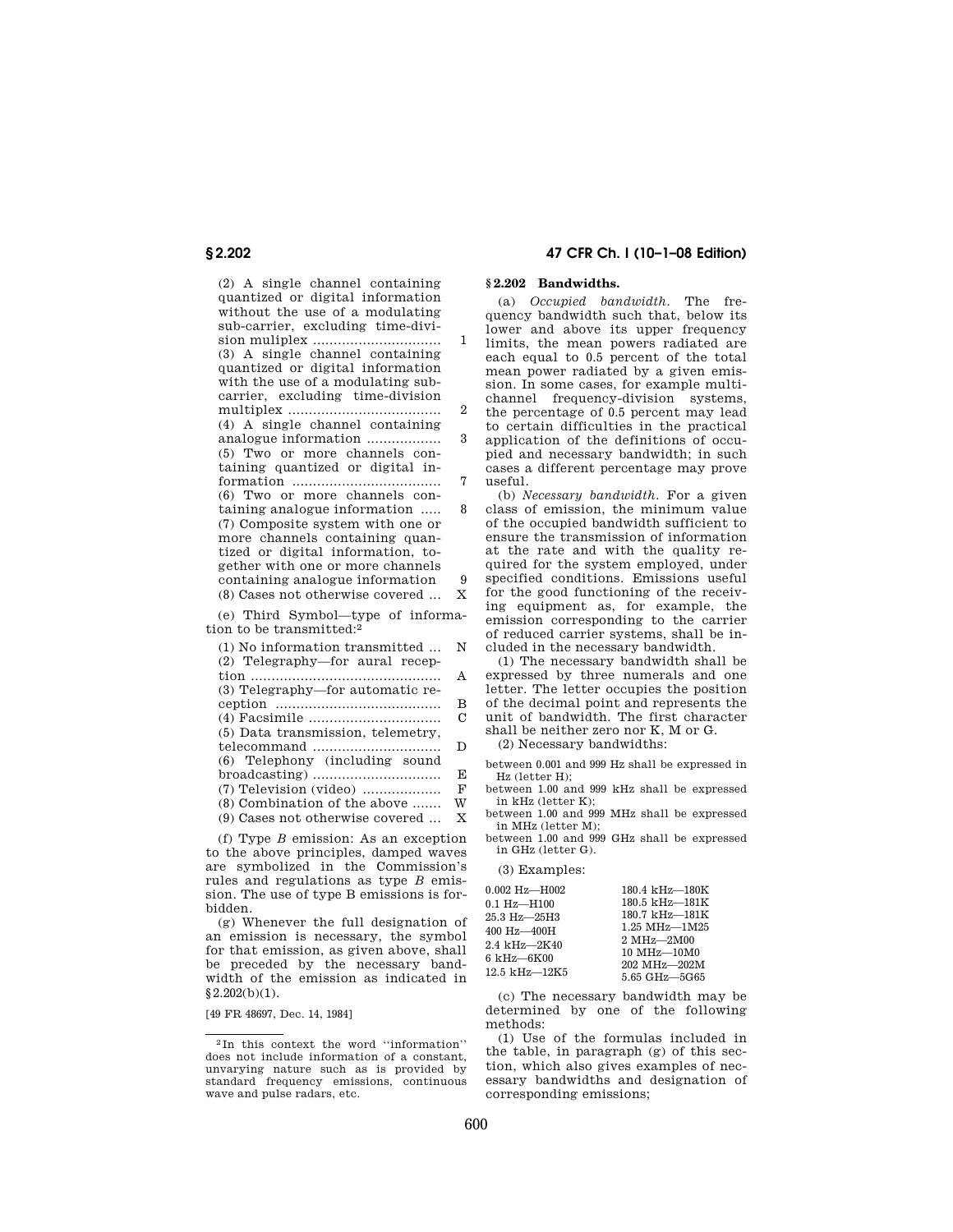(2) A single channel containing quantized or digital information without the use of a modulating sub-carrier, excluding time-division muliplex ............................... 1 (3) A single channel containing quantized or digital information with the use of a modulating subcarrier, excluding time-division multiplex ..................................... 2 (4) A single channel containing analogue information .................. 3 (5) Two or more channels containing quantized or digital information .................................... 7 (6) Two or more channels containing analogue information ..... 8 (7) Composite system with one or more channels containing quantized or digital information, together with one or more channels containing analogue information 9 (8) Cases not otherwise covered ... X

(e) Third Symbol—type of information to be transmitted:2

| (1) No information transmitted    | N |
|-----------------------------------|---|
| (2) Telegraphy-for aural recep-   |   |
|                                   | A |
| (3) Telegraphy—for automatic re-  |   |
|                                   | в |
|                                   | C |
| (5) Data transmission, telemetry, |   |
| telecommand                       | D |
| (6) Telephony (including sound    |   |
|                                   | E |
|                                   | F |
| (8) Combination of the above      | W |
| (9) Cases not otherwise covered   | X |
|                                   |   |

(f) Type *B* emission: As an exception to the above principles, damped waves are symbolized in the Commission's rules and regulations as type *B* emission. The use of type B emissions is forbidden.

(g) Whenever the full designation of an emission is necessary, the symbol for that emission, as given above, shall be preceded by the necessary bandwidth of the emission as indicated in  $§2.202(b)(1).$ 

[49 FR 48697, Dec. 14, 1984]

### **§ 2.202 47 CFR Ch. I (10–1–08 Edition)**

### **§ 2.202 Bandwidths.**

(a) *Occupied bandwidth.* The frequency bandwidth such that, below its lower and above its upper frequency limits, the mean powers radiated are each equal to 0.5 percent of the total mean power radiated by a given emission. In some cases, for example multichannel frequency-division systems, the percentage of 0.5 percent may lead to certain difficulties in the practical application of the definitions of occupied and necessary bandwidth; in such cases a different percentage may prove useful.

(b) *Necessary bandwidth.* For a given class of emission, the minimum value of the occupied bandwidth sufficient to ensure the transmission of information at the rate and with the quality required for the system employed, under specified conditions. Emissions useful for the good functioning of the receiving equipment as, for example, the emission corresponding to the carrier of reduced carrier systems, shall be included in the necessary bandwidth.

(1) The necessary bandwidth shall be expressed by three numerals and one letter. The letter occupies the position of the decimal point and represents the unit of bandwidth. The first character shall be neither zero nor K, M or G.

(2) Necessary bandwidths:

between 0.001 and 999 Hz shall be expressed in Hz (letter H);

between 1.00 and 999 kHz shall be expressed in kHz (letter K);

between 1.00 and 999 MHz shall be expressed in MHz (letter M);

between 1.00 and 999 GHz shall be expressed in GHz (letter G).

(3) Examples:

| $0.002$ Hz-H $002$                 | 180.4 kHz-180K                     |
|------------------------------------|------------------------------------|
|                                    | 180.5 kHz-181K                     |
| $0.1\ \mathrm{Hz} - \mathrm{H}100$ |                                    |
| 25.3 Hz-25H3                       | 180.7 kHz-181K                     |
| 400 Hz-400H                        | $1.25 \text{ MHz} - 1 \text{M} 25$ |
| 2.4 kHz-2K40                       | $2 \text{ MHz} - 2 \text{M} 00$    |
|                                    | 10 MHz-10M0                        |
| 6 kHz—6K00                         | 202 MHz-202M                       |
| 12.5 kHz—12K5                      | 5.65 GHz-5G65                      |

(c) The necessary bandwidth may be determined by one of the following methods:

(1) Use of the formulas included in the table, in paragraph (g) of this section, which also gives examples of necessary bandwidths and designation of corresponding emissions;

<sup>2</sup> In this context the word ''information'' does not include information of a constant, unvarying nature such as is provided by standard frequency emissions, continuous wave and pulse radars, etc.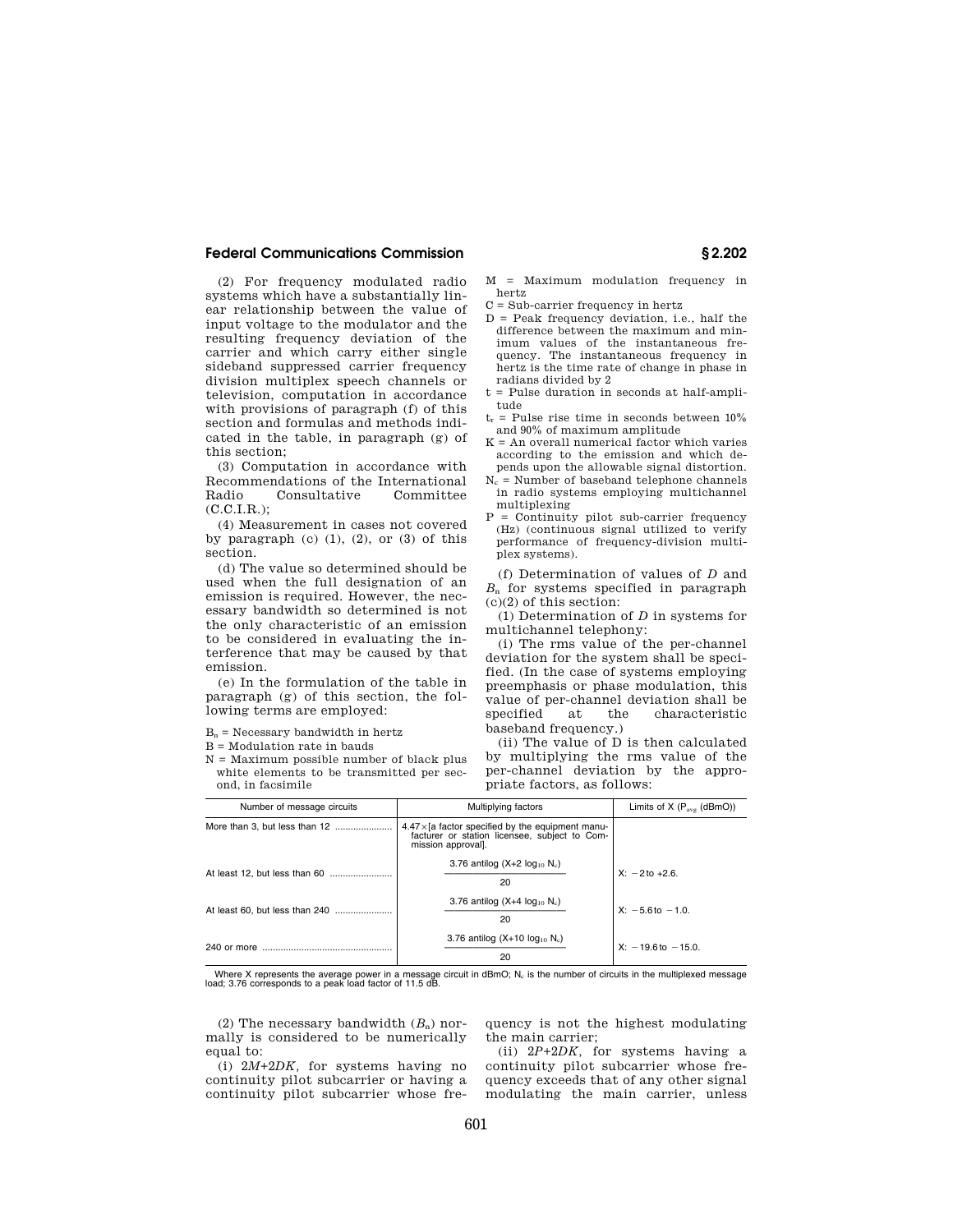### **Federal Communications Commission § 2.202**

(2) For frequency modulated radio systems which have a substantially linear relationship between the value of input voltage to the modulator and the resulting frequency deviation of the carrier and which carry either single sideband suppressed carrier frequency division multiplex speech channels or television, computation in accordance with provisions of paragraph (f) of this section and formulas and methods indicated in the table, in paragraph (g) of this section;

(3) Computation in accordance with Recommendations of the International<br>Radio Consultative Committee Consultative Committee  $(C.C.I.R.);$ 

(4) Measurement in cases not covered by paragraph  $(c)$   $(1)$ ,  $(2)$ ,  $(3)$  of this section.

(d) The value so determined should be used when the full designation of an emission is required. However, the necessary bandwidth so determined is not the only characteristic of an emission to be considered in evaluating the interference that may be caused by that emission.

(e) In the formulation of the table in paragraph (g) of this section, the following terms are employed:

 $B_n$  = Necessary bandwidth in hertz

B = Modulation rate in bauds

N = Maximum possible number of black plus white elements to be transmitted per second, in facsimile

M = Maximum modulation frequency in hertz

C = Sub-carrier frequency in hertz

- D = Peak frequency deviation, i.e., half the difference between the maximum and minimum values of the instantaneous frequency. The instantaneous frequency in hertz is the time rate of change in phase in radians divided by 2
- t = Pulse duration in seconds at half-amplitude
- $t_r$  = Pulse rise time in seconds between  $10\%$ and 90% of maximum amplitude
- $K = An$  overall numerical factor which varies according to the emission and which depends upon the allowable signal distortion.
- $N_c$  = Number of baseband telephone channels in radio systems employing multichannel multiplexing
- P = Continuity pilot sub-carrier frequency (Hz) (continuous signal utilized to verify performance of frequency-division multiplex systems).

(f) Determination of values of *D* and  $B_n$  for systems specified in paragraph (c)(2) of this section:

(1) Determination of *D* in systems for multichannel telephony:

(i) The rms value of the per-channel deviation for the system shall be specified. (In the case of systems employing preemphasis or phase modulation, this value of per-channel deviation shall be specified at the characteristic baseband frequency.)

(ii) The value of D is then calculated by multiplying the rms value of the per-channel deviation by the appropriate factors, as follows:

| Number of message circuits     | Multiplying factors                                                                                                            | Limits of $X$ ( $P_{\text{avg}}$ (dBmO)) |
|--------------------------------|--------------------------------------------------------------------------------------------------------------------------------|------------------------------------------|
| More than 3, but less than 12  | $4.47\times$ [a factor specified by the equipment manu-<br>facturer or station licensee, subject to Com-<br>mission approval]. |                                          |
| At least 12, but less than 60  | 3.76 antilog $(X+2 log_{10} N_c)$<br>20                                                                                        | $X: -2$ to $+2.6$ .                      |
| At least 60, but less than 240 | 3.76 antilog $(X+4 \log_{10} N_c)$<br>20                                                                                       | $X: -5.6$ to $-1.0$ .                    |
| 240 or more                    | 3.76 antilog $(X+10 log10 Nc)$<br>20                                                                                           | $X: -19.6$ to $-15.0$ .                  |

Where X represents the average power in a message circuit in dBmO; N<sub>c</sub> is the number of circuits in the multiplexed message<br>load; 3.76 corresponds to a peak load factor of 11.5 dB.

(2) The necessary bandwidth  $(B_n)$  normally is considered to be numerically equal to:

(i) 2*M*+2*DK,* for systems having no continuity pilot subcarrier or having a continuity pilot subcarrier whose frequency is not the highest modulating the main carrier;

(ii) 2*P*+2*DK,* for systems having a continuity pilot subcarrier whose frequency exceeds that of any other signal modulating the main carrier, unless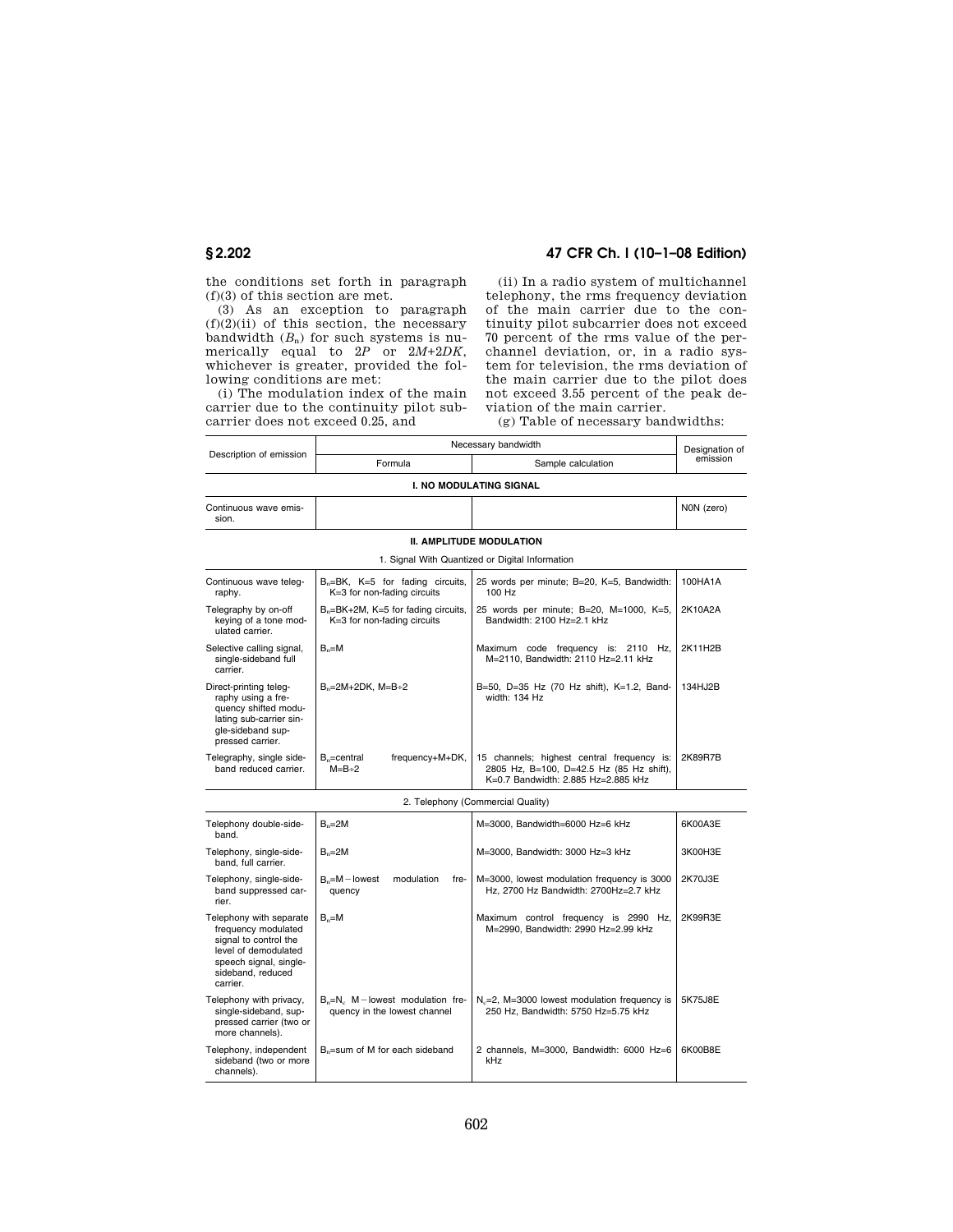the conditions set forth in paragraph (f)(3) of this section are met.

(3) As an exception to paragraph  $(f)(2)(ii)$  of this section, the necessary bandwidth  $(B_n)$  for such systems is numerically equal to 2*P* or 2*M*+2*DK*, whichever is greater, provided the following conditions are met:

(i) The modulation index of the main carrier due to the continuity pilot subcarrier does not exceed 0.25, and

## **§ 2.202 47 CFR Ch. I (10–1–08 Edition)**

(ii) In a radio system of multichannel telephony, the rms frequency deviation of the main carrier due to the continuity pilot subcarrier does not exceed 70 percent of the rms value of the perchannel deviation, or, in a radio system for television, the rms deviation of the main carrier due to the pilot does not exceed 3.55 percent of the peak deviation of the main carrier.

(g) Table of necessary bandwidths:

|                                                                                                                                                            | Necessary bandwidth                                                            |                                                                                                                               | Designation of |
|------------------------------------------------------------------------------------------------------------------------------------------------------------|--------------------------------------------------------------------------------|-------------------------------------------------------------------------------------------------------------------------------|----------------|
| Description of emission                                                                                                                                    | Formula                                                                        | Sample calculation                                                                                                            | emission       |
|                                                                                                                                                            |                                                                                | <b>I. NO MODULATING SIGNAL</b>                                                                                                |                |
| Continuous wave emis-<br>sion.                                                                                                                             |                                                                                |                                                                                                                               | NON (zero)     |
|                                                                                                                                                            |                                                                                | <b>II. AMPLITUDE MODULATION</b>                                                                                               |                |
|                                                                                                                                                            |                                                                                | 1. Signal With Quantized or Digital Information                                                                               |                |
| Continuous wave teleq-<br>raphy.                                                                                                                           | $B_n = BK$ , $K = 5$ for fading circuits,<br>K=3 for non-fading circuits       | 25 words per minute; B=20, K=5, Bandwidth:<br>100 Hz                                                                          | 100HA1A        |
| Telegraphy by on-off<br>keying of a tone mod-<br>ulated carrier.                                                                                           | B <sub>n</sub> =BK+2M, K=5 for fading circuits,<br>K=3 for non-fading circuits | 25 words per minute; B=20, M=1000, K=5,<br>Bandwidth: 2100 Hz=2.1 kHz                                                         | 2K10A2A        |
| Selective calling signal,<br>single-sideband full<br>carrier.                                                                                              | $B_n = M$                                                                      | Maximum code frequency is: 2110 Hz,<br>M=2110. Bandwidth: 2110 Hz=2.11 kHz                                                    | 2K11H2B        |
| Direct-printing teleg-<br>raphy using a fre-<br>quency shifted modu-<br>lating sub-carrier sin-<br>gle-sideband sup-<br>pressed carrier.                   | $B_n = 2M + 2DK$ , $M = B + 2$                                                 | B=50, D=35 Hz (70 Hz shift), K=1.2, Band-<br>width: 134 Hz                                                                    | 134HJ2B        |
| Telegraphy, single side-<br>band reduced carrier.                                                                                                          | $B_n$ =central<br>frequency+M+DK,<br>$M=B+2$                                   | 15 channels; highest central frequency is:<br>2805 Hz, B=100, D=42.5 Hz (85 Hz shift),<br>K=0.7 Bandwidth: 2.885 Hz=2.885 kHz | 2K89R7B        |
|                                                                                                                                                            |                                                                                | 2. Telephony (Commercial Quality)                                                                                             |                |
| Telephony double-side-<br>band.                                                                                                                            | $B_n = 2M$                                                                     | M=3000, Bandwidth=6000 Hz=6 kHz                                                                                               | 6K00A3E        |
| Telephony, single-side-<br>band, full carrier.                                                                                                             | $B_n = 2M$                                                                     | M=3000, Bandwidth: 3000 Hz=3 kHz                                                                                              | 3K00H3E        |
| Telephony, single-side-<br>band suppressed car-<br>rier.                                                                                                   | $B_n = M -$ lowest<br>modulation<br>fre-<br>quency                             | M=3000, lowest modulation frequency is 3000<br>Hz, 2700 Hz Bandwidth: 2700Hz=2.7 kHz                                          | 2K70J3E        |
| Telephony with separate<br>frequency modulated<br>signal to control the<br>level of demodulated<br>speech signal, single-<br>sideband, reduced<br>carrier. | $B_n = M$                                                                      | Maximum control frequency is 2990 Hz,<br>M=2990, Bandwidth: 2990 Hz=2.99 kHz                                                  | 2K99R3E        |
| Telephony with privacy,<br>single-sideband, sup-<br>pressed carrier (two or<br>more channels).                                                             | $B_n=N_c$ M – lowest modulation fre-<br>quency in the lowest channel           | $N_c = 2$ , M=3000 lowest modulation frequency is<br>250 Hz, Bandwidth: 5750 Hz=5.75 kHz                                      | 5K75J8E        |
| Telephony, independent<br>sideband (two or more<br>channels).                                                                                              | $B_n$ =sum of M for each sideband                                              | 2 channels, M=3000, Bandwidth: 6000 Hz=6<br>kHz                                                                               | 6K00B8E        |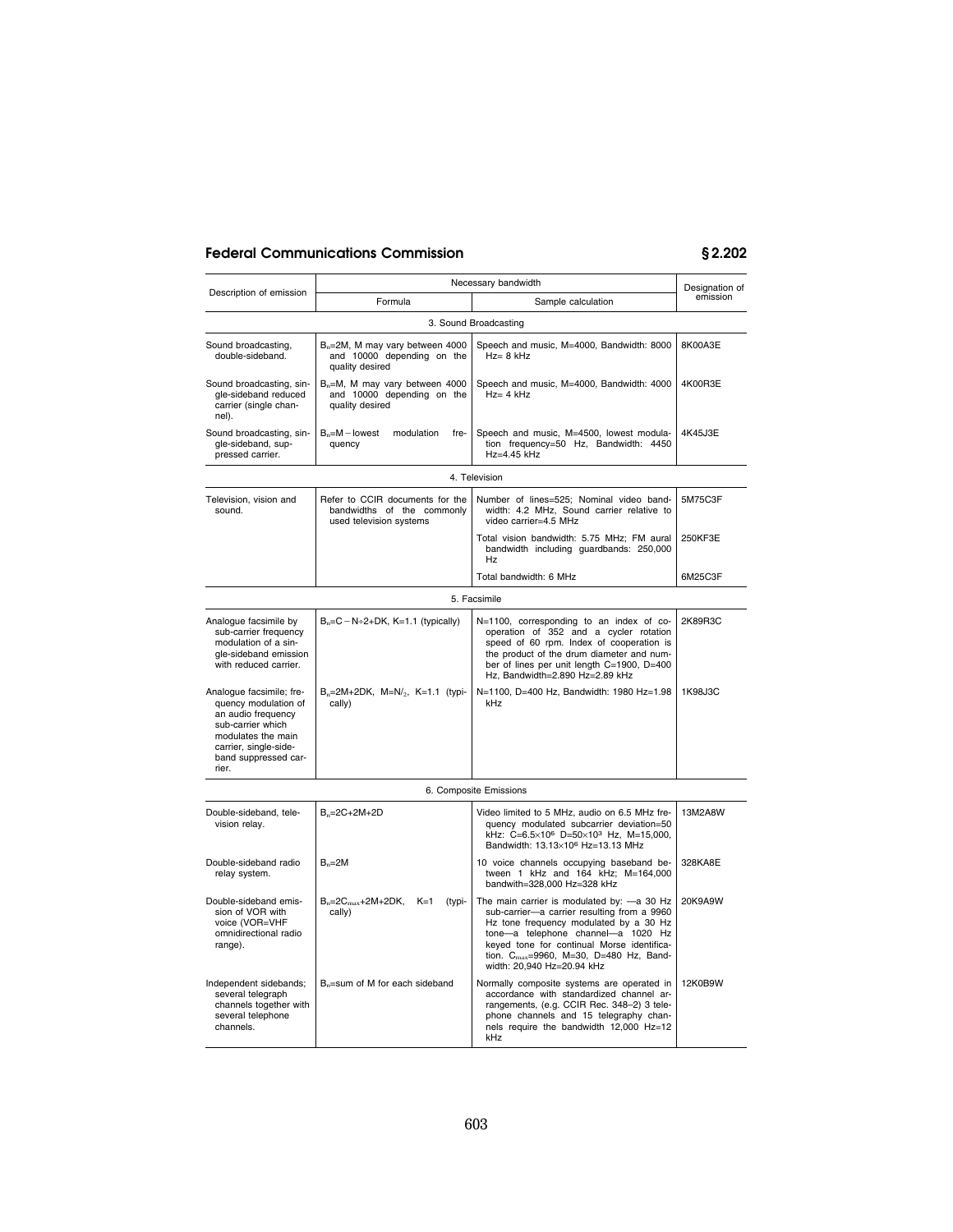# **Federal Communications Commission § 2.202**

| Necessary bandwidth                                                                                                                                                        |                                                                                              |                                                                                                                                                                                                                                                                                                               | Designation of |
|----------------------------------------------------------------------------------------------------------------------------------------------------------------------------|----------------------------------------------------------------------------------------------|---------------------------------------------------------------------------------------------------------------------------------------------------------------------------------------------------------------------------------------------------------------------------------------------------------------|----------------|
| Description of emission                                                                                                                                                    | Formula                                                                                      | Sample calculation                                                                                                                                                                                                                                                                                            | emission       |
|                                                                                                                                                                            |                                                                                              | 3. Sound Broadcasting                                                                                                                                                                                                                                                                                         |                |
| Sound broadcasting,<br>double-sideband.                                                                                                                                    | B <sub>n</sub> =2M, M may vary between 4000<br>and 10000 depending on the<br>quality desired | Speech and music, M=4000, Bandwidth: 8000<br>$Hz = 8$ kHz                                                                                                                                                                                                                                                     | 8K00A3E        |
| Sound broadcasting, sin-<br>gle-sideband reduced<br>carrier (single chan-<br>nel).                                                                                         | $B_n = M$ , M may vary between 4000<br>and 10000 depending on the<br>quality desired         | Speech and music, M=4000, Bandwidth: 4000<br>$Hz = 4 kHz$                                                                                                                                                                                                                                                     | 4K00R3E        |
| Sound broadcasting, sin-<br>gle-sideband, sup-<br>pressed carrier.                                                                                                         | $B_n = M -$ lowest<br>modulation<br>fre-<br>quency                                           | Speech and music, M=4500, lowest modula-<br>tion frequency=50 Hz, Bandwidth: 4450<br>Hz=4.45 kHz                                                                                                                                                                                                              | 4K45J3E        |
|                                                                                                                                                                            |                                                                                              | 4. Television                                                                                                                                                                                                                                                                                                 |                |
| Television, vision and<br>sound.                                                                                                                                           | Refer to CCIR documents for the<br>bandwidths of the commonly<br>used television systems     | Number of lines=525; Nominal video band-<br>width: 4.2 MHz, Sound carrier relative to<br>video carrier=4.5 MHz                                                                                                                                                                                                | 5M75C3F        |
|                                                                                                                                                                            |                                                                                              | Total vision bandwidth: 5.75 MHz; FM aural<br>bandwidth including guardbands: 250,000<br><b>Hz</b>                                                                                                                                                                                                            | 250KF3E        |
|                                                                                                                                                                            |                                                                                              | Total bandwidth: 6 MHz                                                                                                                                                                                                                                                                                        | 6M25C3F        |
|                                                                                                                                                                            |                                                                                              | 5. Facsimile                                                                                                                                                                                                                                                                                                  |                |
| Analogue facsimile by<br>sub-carrier frequency<br>modulation of a sin-<br>gle-sideband emission<br>with reduced carrier.                                                   | $B_n = C - N + 2 + DK$ , K=1.1 (typically)                                                   | N=1100, corresponding to an index of co-<br>operation of 352 and a cycler rotation<br>speed of 60 rpm. Index of cooperation is<br>the product of the drum diameter and num-<br>ber of lines per unit length C=1900, D=400<br>Hz, Bandwidth=2.890 Hz=2.89 kHz                                                  | 2K89R3C        |
| Analogue facsimile; fre-<br>quency modulation of<br>an audio frequency<br>sub-carrier which<br>modulates the main<br>carrier, single-side-<br>band suppressed car-<br>rier | $B_n = 2M + 2DK$ , $M = N/2$ , $K = 1.1$ (typi-<br>cally)                                    | N=1100, D=400 Hz, Bandwidth: 1980 Hz=1.98<br>kHz                                                                                                                                                                                                                                                              | 1K98J3C        |
| 6. Composite Emissions                                                                                                                                                     |                                                                                              |                                                                                                                                                                                                                                                                                                               |                |
| Double-sideband, tele-<br>vision relay.                                                                                                                                    | $B_n = 2C + 2M + 2D$                                                                         | Video limited to 5 MHz, audio on 6.5 MHz fre-<br>quency modulated subcarrier deviation=50<br>kHz: C=6.5×10 <sup>6</sup> D=50×10 <sup>3</sup> Hz, M=15,000,<br>Bandwidth: 13.13×10 <sup>6</sup> Hz=13.13 MHz                                                                                                   | 13M2A8W        |
| Double-sideband radio<br>relay system.                                                                                                                                     | $B_n = 2M$                                                                                   | 10 voice channels occupying baseband be-<br>tween 1 kHz and 164 kHz; M=164,000<br>bandwith=328,000 Hz=328 kHz                                                                                                                                                                                                 | 328KA8E        |
| Double-sideband emis-<br>sion of VOR with<br>voice (VOR=VHF<br>omnidirectional radio<br>range).                                                                            | $B_n = 2C_{max} + 2M + 2DK$ ,<br>$K=1$<br>(typi-<br>cally)                                   | The main carrier is modulated by: - a 30 Hz<br>sub-carrier-a carrier resulting from a 9960<br>Hz tone frequency modulated by a 30 Hz<br>tone-a telephone channel-a 1020 Hz<br>keyed tone for continual Morse identifica-<br>tion. C <sub>max</sub> =9960, M=30, D=480 Hz, Band-<br>width: 20,940 Hz=20.94 kHz | 20K9A9W        |
| Independent sidebands;<br>several telegraph<br>channels together with<br>several telephone<br>channels.                                                                    | $B_n$ =sum of M for each sideband                                                            | Normally composite systems are operated in<br>accordance with standardized channel ar-<br>rangements, (e.g. CCIR Rec. 348-2) 3 tele-<br>phone channels and 15 telegraphy chan-<br>nels require the bandwidth 12,000 Hz=12<br>kHz                                                                              | 12K0B9W        |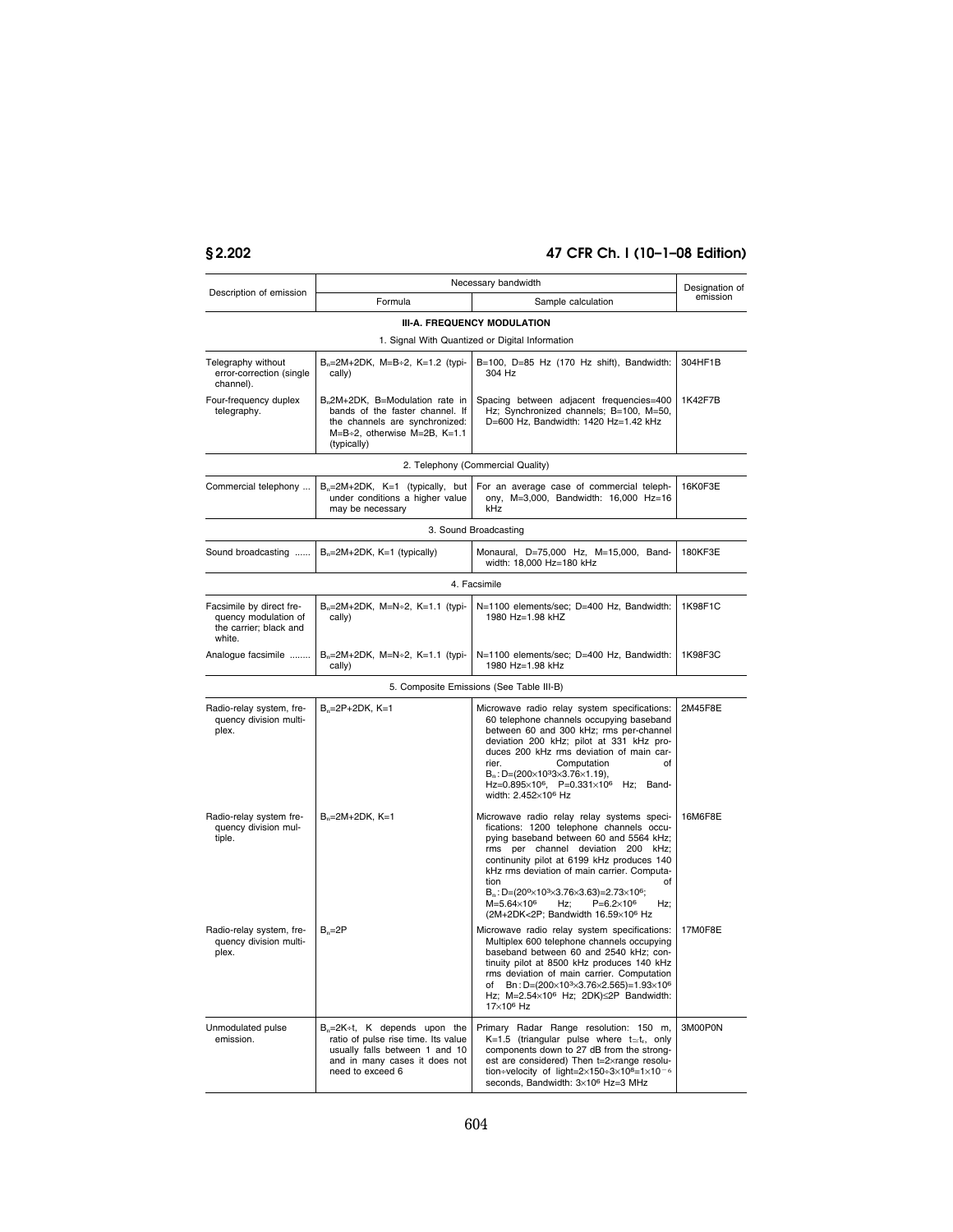# **§ 2.202 47 CFR Ch. I (10–1–08 Edition)**

| Necessary bandwidth                                                                  |                                                                                                                                                                 | Designation of                                                                                                                                                                                                                                                                                                                                                                                                                                                              |          |
|--------------------------------------------------------------------------------------|-----------------------------------------------------------------------------------------------------------------------------------------------------------------|-----------------------------------------------------------------------------------------------------------------------------------------------------------------------------------------------------------------------------------------------------------------------------------------------------------------------------------------------------------------------------------------------------------------------------------------------------------------------------|----------|
| Description of emission                                                              | Formula                                                                                                                                                         | Sample calculation                                                                                                                                                                                                                                                                                                                                                                                                                                                          | emission |
|                                                                                      |                                                                                                                                                                 | III-A. FREQUENCY MODULATION                                                                                                                                                                                                                                                                                                                                                                                                                                                 |          |
|                                                                                      |                                                                                                                                                                 | 1. Signal With Quantized or Digital Information                                                                                                                                                                                                                                                                                                                                                                                                                             |          |
| Telegraphy without<br>error-correction (single<br>channel).                          | $B_n = 2M + 2DK$ , $M = B \div 2$ , $K = 1.2$ (typi-<br>cally)                                                                                                  | B=100, D=85 Hz (170 Hz shift), Bandwidth:<br>304 Hz                                                                                                                                                                                                                                                                                                                                                                                                                         | 304HF1B  |
| Four-frequency duplex<br>telegraphy.                                                 | B <sub>n</sub> 2M+2DK, B=Modulation rate in<br>bands of the faster channel. If<br>the channels are synchronized:<br>M=B+2, otherwise M=2B, K=1.1<br>(typically) | Spacing between adjacent frequencies=400<br>Hz; Synchronized channels; B=100, M=50,<br>D=600 Hz, Bandwidth: 1420 Hz=1.42 kHz                                                                                                                                                                                                                                                                                                                                                | 1K42F7B  |
|                                                                                      |                                                                                                                                                                 | 2. Telephony (Commercial Quality)                                                                                                                                                                                                                                                                                                                                                                                                                                           |          |
| Commercial telephony                                                                 | $B_n=2M+2DK$ , K=1 (typically, but<br>under conditions a higher value<br>may be necessary                                                                       | For an average case of commercial teleph-<br>ony, M=3,000, Bandwidth: 16,000 Hz=16<br>kHz                                                                                                                                                                                                                                                                                                                                                                                   | 16K0F3E  |
|                                                                                      |                                                                                                                                                                 | 3. Sound Broadcasting                                                                                                                                                                                                                                                                                                                                                                                                                                                       |          |
| Sound broadcasting                                                                   | $B_n=2M+2DK$ , K=1 (typically)                                                                                                                                  | Monaural, D=75,000 Hz, M=15,000, Band-<br>width: 18,000 Hz=180 kHz                                                                                                                                                                                                                                                                                                                                                                                                          | 180KF3E  |
|                                                                                      |                                                                                                                                                                 | 4. Facsimile                                                                                                                                                                                                                                                                                                                                                                                                                                                                |          |
| Facsimile by direct fre-<br>quency modulation of<br>the carrier; black and<br>white. | $B_n = 2M + 2DK$ , $M = N + 2$ , $K = 1.1$ (typi-<br>cally)                                                                                                     | N=1100 elements/sec; D=400 Hz, Bandwidth:<br>1980 Hz=1.98 kHZ                                                                                                                                                                                                                                                                                                                                                                                                               | 1K98F1C  |
| Analogue facsimile                                                                   | $B_n = 2M + 2DK$ , $M = N + 2$ , $K = 1.1$ (typi-<br>cally)                                                                                                     | N=1100 elements/sec; D=400 Hz, Bandwidth:<br>1980 Hz=1.98 kHz                                                                                                                                                                                                                                                                                                                                                                                                               | 1K98F3C  |
|                                                                                      |                                                                                                                                                                 | 5. Composite Emissions (See Table III-B)                                                                                                                                                                                                                                                                                                                                                                                                                                    |          |
| Radio-relay system, fre-<br>quency division multi-<br>plex.                          | $B_n = 2P + 2DK$ , K=1                                                                                                                                          | Microwave radio relay system specifications:<br>60 telephone channels occupying baseband<br>between 60 and 300 kHz; rms per-channel<br>deviation 200 kHz; pilot at 331 kHz pro-<br>duces 200 kHz rms deviation of main car-<br>rier.<br>Computation<br>of<br>$B_n: D=(200\times10^33\times3.76\times1.19),$<br>Hz=0.895×106, P=0.331×106 Hz; Band-<br>width: 2.452×10 <sup>6</sup> Hz                                                                                       | 2M45F8E  |
| Radio-relay system fre-<br>quency division mul-<br>tiple.                            | $B_n = 2M + 2DK$ , K=1                                                                                                                                          | Microwave radio relay relay systems speci-<br>fications: 1200 telephone channels occu-<br>pying baseband between 60 and 5564 kHz;<br>rms per channel deviation 200 kHz;<br>continunity pilot at 6199 kHz produces 140<br>kHz rms deviation of main carrier. Computa-<br>tion<br>οf<br>$B_n$ : D=(20 <sup>0</sup> ×10 <sup>3</sup> ×3.76×3.63)=2.73×10 <sup>6</sup> ;<br>$M = 5.64 \times 10^6$<br>$P = 6.2 \times 10^6$<br>Hz;<br>Hz:<br>(2M+2DK<2P; Bandwidth 16.59×106 Hz | 16M6F8E  |
| Radio-relay system, fre-<br>quency division multi-<br>plex.                          | $B_n = 2P$                                                                                                                                                      | Microwave radio relay system specifications:<br>Multiplex 600 telephone channels occupying<br>baseband between 60 and 2540 kHz; con-<br>tinuity pilot at 8500 kHz produces 140 kHz<br>rms deviation of main carrier. Computation<br>of Bn: D=(200×10 <sup>3</sup> ×3.76×2.565)=1.93×10 <sup>6</sup><br>Hz; $M=2.54\times10^6$ Hz; $2DK)\leq 2P$ Bandwidth:<br>17×10 <sup>6</sup> Hz                                                                                         | 17M0F8E  |
| Unmodulated pulse<br>emission.                                                       | $B_n=2K+1$ , K depends upon the<br>ratio of pulse rise time. Its value<br>usually falls between 1 and 10<br>and in many cases it does not<br>need to exceed 6   | Primary Radar Range resolution: 150 m,<br>K=1.5 (triangular pulse where $t \approx t_r$ , only<br>components down to 27 dB from the strong-<br>est are considered) Then t=2xrange resolu-<br>tion÷velocity of light= $2\times150+3\times10^{8}=1\times10^{-6}$<br>seconds, Bandwidth: 3×10 <sup>6</sup> Hz=3 MHz                                                                                                                                                            | 3M00P0N  |